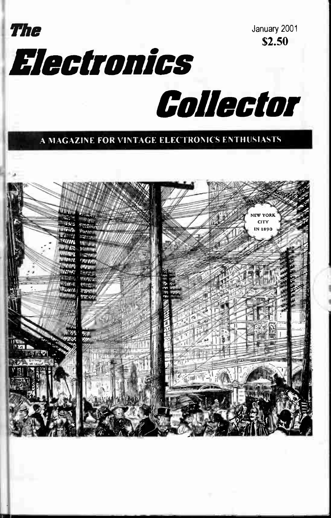



Electronics Collector

#### A MAGAZINE FOR VINTAGE ELECTRONICS ENTHUSIASTS

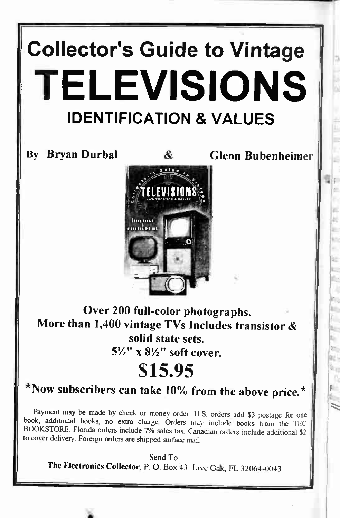# Collector's Guide to Vintage TELEVISIONS IDENTIFICATION & VALUES

By Bryan Durbal  $\alpha$  Glenn Bubenheimer



Over 200 full-color photographs. More than 1,400 vintage TVs Includes transistor & solid state sets.  $5\frac{1}{2}$ " x  $8\frac{1}{2}$ " soft cover.

## S15.95

## $*$  Now subscribers can take 10% from the above price. $*$

Payment may be made by check or money order. U.S. orders add \$3 postage for one book, additional books, no extra charge Orders may include books from the TEC BOOKSTORE. Florida orders include 7% sales tax. Canadian orders include additional \$2 to cover delivery. Foreign orders are shipped surface mail.

Send To: The Electronics Collector, P. 0. Box 43, Live Oak, FL 32064-0043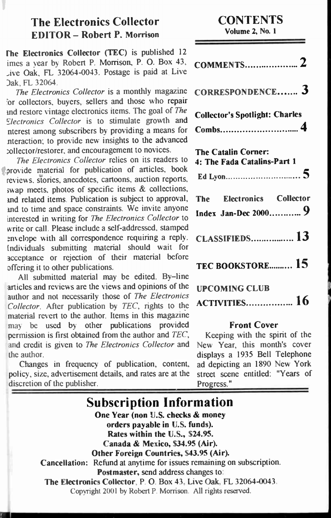### The Electronics Collector EDITOR — Robert P. Morrison

The Electronics Collector (TEC) is published 12 imes a year by Robert P. Morrison, P. 0. Box 43, Ave Oak, FL 32064-0043. Postage is paid at Live 3ak, FL 32064.

The Electronics Collector is a monthly magazine 'or collectors, buyers, sellers and those who repair and restore vintage electronics items. The goal of The Flectronics Collector is to stimulate growth and merest among subscribers by providing a means for meraction; to provide new insights to the advanced collector/restorer, and encouragement to novices.

The Electronics Collector relies on its readers to provide material for publication of articles, book reviews, stories, anecdotes, cartoons, auction reports, swap meets, photos of specific items  $\&$  collections, and related items. Publication is subject to approval, and to time and space constraints. We invite anyone interested in writing for The Electronics Collector to write or call. Please include a self-addressed, stamped envelope with all correspondence requiring a reply. Individuals submitting material should wait for acceptance or rejection of their material before ofering it to other publications.

All submitted material may be edited. By-line articles and reviews are the views and opinions of the author and not necessarily those of The Electronics Collector. After publication by TEC, rights to the material revert to the author. Items in this magazine may be used by other publications provided permission is first obtained from the author and TEC, and credit is given to The Electronics Collector and the author.

Changes in frequency of publication, content, policy, size, advertisement details, and rates are at the discretion of the publisher.

**CONTENTS** 

Volume 2, No. 1

| CORRESPONDENCE 3                                          |
|-----------------------------------------------------------|
| <b>Collector's Spotlight: Charles</b>                     |
| <b>The Catalin Corner:</b><br>4: The Fada Catalins-Part 1 |
| The Electronics Collector<br>Index Jan-Dec 2000 9         |
| <b>CLASSIFIEDS 13</b>                                     |
| TEC BOOKSTORE 15                                          |
| <b>UPCOMING CLUB</b><br><b>ACTIVITIES 16</b>              |

#### Front Cover

Keeping with the spirit of the New Year, this month's cover displays a 1935 Bell Telephone ad depicting an 1890 New York street scene entitled: "Years of Progress."

| <b>Subscription Information</b>                                                                                                 |
|---------------------------------------------------------------------------------------------------------------------------------|
| One Year (non U.S. checks & money                                                                                               |
| orders payable in U.S. funds).                                                                                                  |
| Rates within the U.S., \$24.95.                                                                                                 |
| Canada & Mexico, \$34.95 (Air).                                                                                                 |
| Other Foreign Countries, \$43.95 (Air).                                                                                         |
| Cancellation: Refund at anytime for issues remaining on subscription.                                                           |
| Postmaster, send address changes to:                                                                                            |
| The Electronics Collector, P. O. Box 43, Live Oak, FL 32064-0043.<br>Copyright 2001 by Robert P. Morrison. All rights reserved. |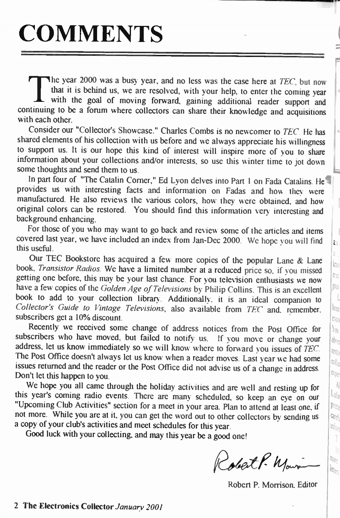# **COMMENTS**

The year 2000 was a busy year, and no less was the case here at TEC, but now that it is behind us, we are resolved, with your help, to enter the coming year with the goal of moving forward, gaining additional reader support and continuing to be a forum where collectors can share their knowledge and acquisitions with each other.

Consider our "Collector's Showcase." Charles Combs is no newcomer to TEC. He has shared elements of his collection with us before and we always appreciate his willingness to support us. It is our hope this kind of interest will inspire more of you to share information about your collections and/or interests, so use this winter time to jot down some thoughts and send them to us.

In part four of "The Catalin Corner," Ed Lyon delves into Part 1 on Fada Catalins. He provides us with interesting facts and information on Fadas and how they were manufactured. He also reviews the various colors, how they were obtained, and how 1 original colors can be restored. You should find this information very interesting and background enhancing.

For those of you who may want to go back and review some of the articles and items covered last year, we have included an index from Jan-Dec 2000. We hope you will find  $\|_{\ell_0}$ this useful.

Our TEC Bookstore has acquired a few more copies of the popular Lane  $\&$  Lane book, Transistor Radios. We have a limited number at a reduced price so, if you missed getting one before, this may be your last chance. For you television enthusiasts we now have a few copies of the Golden Age of Televisions by Philip Collins. This is an excellent book to add to your collection library. Additionally it is an ideal companion to book to add to your collection library. Additionally, it is an ideal companion to Collector's Guide to Vintage Televisions, also available from TEC and, remember,  $\left|\mathbf{k}\right|$ subscribers get a 10% discount.

Recently we received some change of address notices from the Post Office for  $| \cdot |$ . subscribers who have moved, but failed to notify us. If you move or change your  $\|\phi\|$ address, let us know immediately so we will know where to forward you issues of TEC.  $\left\| \mathbb{R} \right\|$ The Post Office doesn't always let us know when a reader moves. Last year we had some issues returned and the reader or the Post Office did not advise us of a change in address. Don't let this happen to you.

We hope you all came through the holiday activities and are well and resting up for  $\|\cdot\|$  s vear's coming radio events. There are many scheduled so keep an even our this year's coming radio events. There are many scheduled, so keep an eye on our "Upcoming Club Activities" section for a meet in your area. Plan to attend at least one, if  $\|$  Plug not more. While you are at it, you can get the word out to other collectors by sending us  $\left[ \frac{\alpha}{2} \right]$ a copy of your club's activities and meet schedules for this year.

Good luck with your collecting, and may this year be a good one!

Robert P. Main

Robert P. Morrison, Editor

 $\frac{1}{n_{0r_{c}}}$ 

 $\log_{th}$ 

bf<sub>or</sub> Ť

 $\infty$ e.<br>Rije

ì.  $\ln$ ħ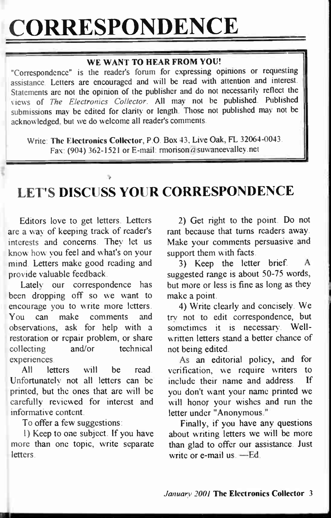# CORRESPONDENCE

#### WE WANT TO HEAR FROM YOU!

"Correspondence" is the reader's forum for expressing opinions or requesting assistance. Letters are encouraged and will be read with attention and interest Statements are not the opinion of the publisher and do not necessarily reflect the views of The Electronics Collector. All may not be published. Published submissions may be edited for clarity or length. Those not published may not be acknowledged, but we do welcome all reader's comments.

Write: The Electronics Collector, P.O. Box 43, Live Oak, FL 32064-0043. Fax: (904) 362-1521 or E-mail: rmorison a suwaneevalley.net

## LET'S DISCUSS YOUR CORRESPONDENCE

Editors love to get letters. Letters are a way of keeping track of reader's interests and concerns. They let us know how you feel and what's on your mind. Letters make good reading and provide valuable feedback.

Lately our correspondence has been dropping off so we want to encourage you to write more letters. You can make comments and observations, ask for help with a restoration or repair problem, or share collecting and/or technical experiences.

All letters will be read. Unfortunately not all letters can be printed, but the ones that are will be carefully reviewed for interest and informative content.

To offer a few suggestions:

1) Keep to one subject. If you have more than one topic, write separate **letters** 

2) Get right to the point. Do not rant because that turns readers away. Make your comments persuasive and support them with facts.

3) Keep the letter brief. suggested range is about 50-75 words, but more or less is fine as long as they make a point.

4) Write clearly and concisely. We try not to edit correspondence, but sometimes it is necessary. Wellwritten letters stand a better chance of not being edited.

As an editorial policy, and for verification, we require writers to include their name and address. If you don't want your name printed we will honor your wishes and run the letter under "Anonymous."

Finally, if you have any questions about writing letters we will be more than glad to offer our assistance. Just write or e-mail us. —Ed.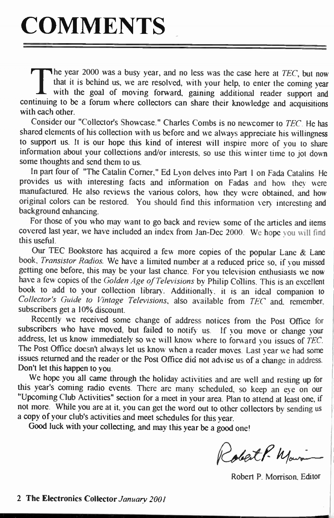The year 2000 was a busy year, and no less was the case here at TEC, but now that it is behind us, we are resolved, with your help, to enter the coming year with the goal of moving forward, gaining additional reader support and continuing to be a forum where collectors can share their knowledge and acquisitions with each other.

Consider our "Collector's Showcase." Charles Combs is no newcomer to TEC. He has shared elements of his collection with us before and we always appreciate his wilingness to support us. It is our hope this kind of interest will inspire more of you to share information about your collections and/or interests, so use this winter time to jot down some thoughts and send them to us.

In part four of "The Catalin Corner," Ed Lyon delves into Part 1 on Fada Catalins. He provides us with interesting facts and information on Fadas and how they were manufactured. He also reviews the various colors, how they were obtained, and how original colors can be restored. You should find this information very interesting and background enhancing.

For those of you who may want to go back and review some of the articles and items covered last year, we have included an index from Jan-Dec 2000. We hope you will find this useful.

Our TEC Bookstore has acquired a few more copies of the popular Lane  $\&$  Lane book, Transistor Radios. We have a limited number at a reduced price so, if you missed getting one before, this may be your last chance. For you television enthusiasts we now have a few copies of the Golden Age of Televisions by Philip Collins. This is an excellent book to add to your collection library. Additionally, it is an ideal companion to Collector's Guide to Vintage Televisions, also available from TEC and, remember, subscribers get a 10% discount.

Recently we received some change of address notices from the Post Office for subscribers who have moved, but failed to notify us. If you move or change your address, let us know immediately so we will know where to forward you issues of TEC. The Post Ofice doesn't always let us know when a reader moves. Last year we had some issues returned and the reader or the Post Office did not advise us of a change in address. Don't let this happen to you.

We hope you all came through the holiday activities and are well and resting up for this year's coming radio events. There are many scheduled, so keep an eye on our "Upcoming Club Activities" section for a meet in your area. Plan to attend at least one, if not more. While you are at it, you can get the word out to other collectors by sending us a copy of your club's activities and meet schedules for this year.

Good luck with your collecting, and may this year be a good one!

Robert P. Main

Robert P. Morrison. Editor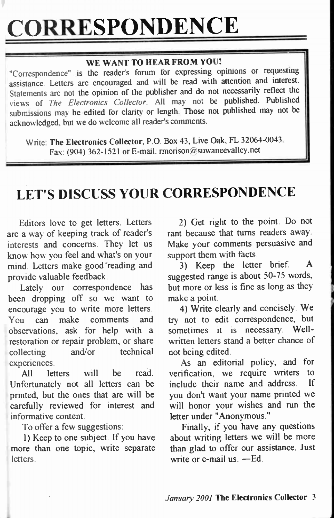# **CORRESPONDENCE**

#### WE WANT TO HEAR FROM YOU!

"Correspondence" is the reader's forum for expressing opinions or requesting assistance. Letters are encouraged and will be read with atention and interest Statements are not the opinion of the publisher and do not necessarily reflect the views of The Electronics Collector. All may not be published. Published submissions may be edited for clarity or length. Those not published may not be acknowledged, but we do welcome all reader's comments.

Write: The Electronics Collector, P.O. Box 43, Live Oak, FL 32064-0043. Fax: (904) 362-1521 or E-mail: rmorison@suwaneevalley.net

## LET'S DISCUSS YOUR CORRESPONDENCE

Editors love to get letters. Letters are a way of keeping track of reader's interests and concerns. They let us know how you feel and what's on your mind. Letters make good reading and provide valuable feedback.

Lately our correspondence has been dropping off so we want to encourage you to write more letters. You can make comments and observations, ask for help with a restoration or repair problem, or share collecting and/or technical experiences.

All letters will be read. Unfortunately not all letters can be printed, but the ones that are will be carefully reviewed for interest and informative content.

To offer a few suggestions:

1) Keep to one subject. If you have more than one topic, write separate letters.

2) Get right to the point. Do not rant because that turns readers away. Make your comments persuasive and support them with facts.

3) Keep the letter brief. A suggested range is about 50-75 words, but more or less is fine as long as they make a point.

4) Write clearly and concisely. We try not to edit correspondence, but sometimes it is necessary. Wellwritten letters stand a better chance of not being edited.

As an editorial policy, and for verification, we require writers to include their name and address. If you don't want your name printed we will honor your wishes and run the letter under "Anonymous."

Finally, if you have any questions about writing letters we will be more than glad to offer our assistance. Just write or e-mail us. —Ed.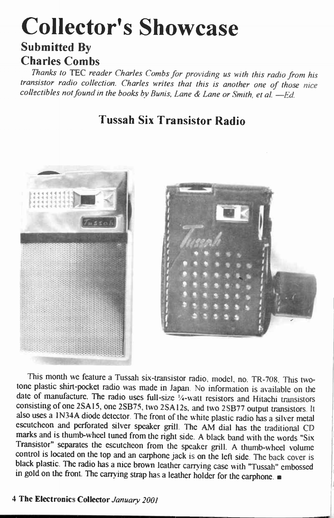# Collector's Showcase

### Submitted By Charles Combs

Thanks to TEC reader Charles Combs for providing us with this radio from his transistor radio collection. Charles writes that this is another one of those nice  $\omega$  collectibles not found in the books by Bunis, Lane  $\alpha$  Lane or Smith, et al. - Ed.

### Tussah Six Transistor Radio



This month we feature a Tussah six-transistor radio, model, no. TR-708. This twotone plastic shirt-pocket radio was made in Japan. No information is available on the date of manufacture. The radio uses full-size  $\frac{1}{4}$ -watt resistors and Hitachi transistors consisting of one 2SA15, one 2SB75, two 2SA12s, and two 2SB77 output transistors. It also uses a 1N34A diode detector. The front of the white plastic radio has a silver metal escutcheon and perforated silver speaker grill. The AM dial has the traditional CD marks and is thumb-wheel tuned from the right side. A black band with the words "Six Transistor" separates the escutcheon from the speaker grill. A thumb-wheel volume control is located on the top and an earphone jack is on the left side. The back cover is black plastic. The radio has a nice brown leather carrying case with "Tussah" embossed in gold on the front. The carrying strap has a leather holder for the earphone.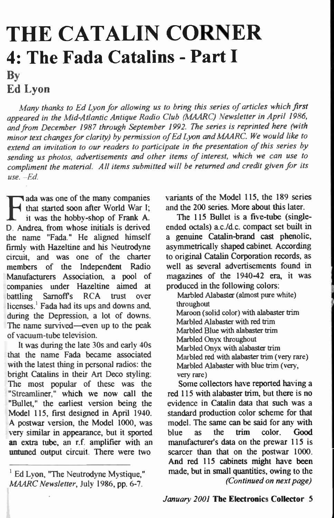## THE CATALIN CORNER 4: The Fada Catalins - Part I By Ed Lyon

Many thanks to Ed Lyon for allowing us to bring this series of articles which first appeared in the Mid-Atlantic Antique Radio Club (MAARC) Newsletter in April 1986, and from December 1987 through September 1992. The series is reprinted here (with minor text changes for clarity) by permission of Ed Lyon and MAARC. We would like to extend an invitation to our readers to participate in the presentation of this series by sending us photos, advertisements and other items of interest, which we can use to compliment the material. All items submitted will be returned and credit given for its  $use. -Ed.$ 

ada was one of the many companies that started soon after World War I; it was the hobby-shop of Frank A. D. Andrea, from whose initials is derived the name "Fada." He aligned himself firmly with Hazeltine and his Neutrodyne circuit, and was one of the charter members of the Independent Radio Manufacturers Association, a pool of companies under Hazeltine aimed at battling Sarnoffs RCA trust over licenses.' Fada had its ups and downs and, during the Depression, a lot of downs. The name survived—even up to the peak of vacuum-tube television.

It was during the late 30s and early 40s that the name Fada became associated with the latest thing in personal radios: the bright Catalins in their Art Deco styling: The most popular of these was the "Streamliner," which we now call the "Bullet," the earliest version being the Model 115, first designed in April 1940. A postwar version, the Model 1000, was very similar in appearance, but it sported an extra tube, an r.f. amplifier with an untuned output circuit. There were two

variants of the Model 115, the 189 series and the 200 series. More about this later.

The 115 Bullet is a five-tube (singleended octals) ac./d.c. compact set built in a genuine Catalin-brand cast phenolic, asymmetrically shaped cabinet. According to original Catalin Corporation records, as well as several advertisements found in magazines of the 1940-42 era, it was produced in the following colors:

Marbled Alabaster (almost pure white) throughout Maroon (solid color) with alabaster trim Marbled Alabaster with red trim Marbled Blue with alabaster trim Marbled Onyx throughout Marbled Onyx with alabaster trim Marbled red with alabaster trim (very rare) Marbled Alabaster with blue trim (very, very rare)

Some collectors have reported having a red 115 with alabaster trim, but there is no evidence in Catalin data that such was a standard production color scheme for that model. The same can be said for any with blue as the trim color. Good manufacturer's data on the prewar 115 is scarcer than that on the postwar 1000. And red 115 cabinets might have been made, but in small quantities, owing to the (Continued on next page)

 $<sup>1</sup>$  Ed Lyon, "The Neutrodyne Mystique,"</sup> MAARC Newsletter, July 1986, pp. 6-7.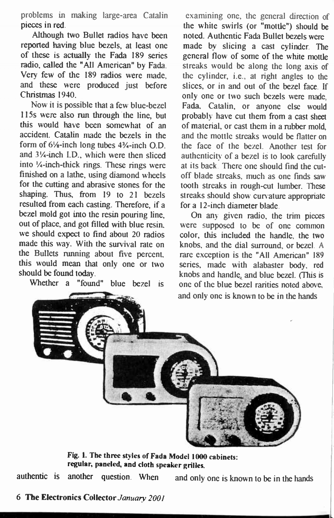problems in making large-area Catalin pieces in red.

Although two Bullet radios have been reported having blue bezels, at least one of these is actually the Fada 189 series radio, called the "All American" by Fada. Very few of the 189 radios were made, and these were produced just before Christmas 1940.

Now it is possible that a few blue-bezel 15s were also run through the line, but this would have been somewhat of an accident. Catalin made the bezels in the form of  $6\frac{1}{8}$ -inch long tubes  $4\frac{3}{4}$ -inch O.D. and 3%-inch I.D., which were then sliced into %-inch-thick rings. These rings were finished on a lathe, using diamond wheels for the cutting and abrasive stones for the shaping. Thus, from 19 to 21 bezels resulted from each casting. Therefore, if a bezel mold got into the resin pouring line, out of place, and got filed with blue resin, we should expect to find about 20 radios made this way. With the survival rate on the Bullets running about five percent, this would mean that only one or two should be found today.

Whether a "found" blue bezel is

examining one, the general direction of the white swirls (or "mottle") should be noted. Authentic Fada Bullet bezels were made by slicing a cast cylinder. The general flow of some of the white mottle streaks would be along the long axis of the cylinder, i.e., at right angles to the slices, or in and out of the bezel face. If only one or two such bezels were made, Fada, Catalin, or anyone else would probably have cut them from a cast sheet of material, or cast them in a rubber mold, and the mottle streaks would be flatter on the face of the bezel. Another test for authenticity of a bezel is to look carefully at its back. There one should find the cutoff blade streaks, much as one finds saw tooth streaks in rough-cut lumber. These streaks should show curvature appropriate for a I2-inch diameter blade.

On any given radio, the trim pieces were supposed to be of one common color, this included the handle, the two knobs, and the dial surround, or bezel. A rare exception is the "All American" 189 series, made with alabaster body, red knobs and handle, and blue bezel. (This is one of the blue bezel rarities noted above, and only one is known to be in the hands



Fig. 1. The three styles of Fada Model 1000 cabinets: regular, paneled, and cloth speaker grilles.

authentic is another question. When and only one is known to be in the hands

#### 6 The Electronics Collector January 2001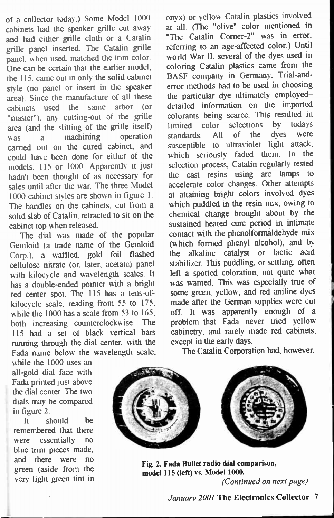of a collector today.) Some Model 1000 cabinets had the speaker grille cut away and had either grille cloth or a Catalin grille panel inserted. The Catalin grille panel, when used, matched the trim color. One can be certain that the earlier model, the 115, came out in only the solid cabinet style (no panel or insert in the speaker area). Since the manufacture of all these cabinets used the same arbor (or "master"), any cutting-out of the grille area (and the slitting of the grille itself)<br>was a machining operation was a machining carried out on the cured cabinet, and could have been done for either of the models, 115 or 1000. Apparently it just hadn't been thought of as necessary for sales until after the war. The three Model 1000 cabinet styles are shown in figure 1. The handles on the cabinets, cut from a solid slab of Catalin, retracted to sit on the cabinet top when released.

The dial was made of the popular Gemloid (a trade name of the Gemloid Corp.), a wafled, gold foil flashed cellulose nitrate (or, later, acetate.) panel with kilocycle and wavelength scales. It has a double-ended pointer with a bright red center spot. The 115 has a tens-ofkilocycle scale, reading from 55 to 175, while the 1000 has a scale from 53 to 165, both increasing counterclockwise. The 15 had a set of black vertical bars running through the dial center, with the Fada name below the wavelength scale,

while the 1000 uses an all-gold dial face with Fada printed just above the dial center. The two dials may be compared in figure 2.

It should be remembered that there were essentially no blue trim pieces made. and there were no green (aside from the very light green tint in onyx) or yellow Catalin plastics involved at all. (The "olive" color mentioned in "The Catalin Corner-2" was in error, referring to an age-afected color.) Until world War 1, several of the dyes used in coloring Catalin plastics came from the BASF company in Germany. Trial-anderror methods had to be used in choosing the particular dye ultimately employed detailed information on the imported colorants being scarce. This resulted in<br>limited color selections by todays limited color selections standards. All of the dyes were susceptible to ultraviolet light attack, which seriously faded them. In the selection process, Catalin regularly tested the cast resins using arc lamps to accelerate color changes. Other atempts at attaining bright colors involved dyes which puddled in the resin mix, owing to chemical change brought about by the sustained heated cure period in intimate contact with the phenolformaldehyde mix (which formed phenyl alcohol), and by the alkaline catalyst or lactic acid stabilizer. This puddling, or settling, often left a spotted coloration, not quite what was wanted. This was especially true of some green, yellow, and red aniline dyes made after the German supplies were cut off. It was apparently enough of a problem that Fada never tried yellow cabinetry, and rarely made red cabinets, except in the early days.

The Catalin Corporation had, however,



Fig. 2. Fada Bullet radio dial comparison, model 15 (left) vs. Model 1000. (Continued on next page)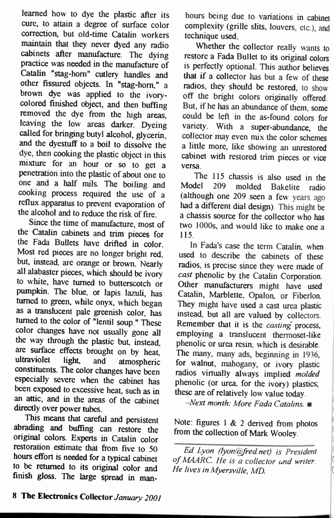learned how to dye the plastic after its cure, to attain a degree of surface color correction, but old-time Catalin workers maintain that they never dyed any radio cabinets after manufacture. The dying practice was needed in the manufacture of Catalin "stag-horn" cutlery handles and other fissured objects. In "stag-horn," a brown dye was applied to the ivorycolored finished object, and then buffing removed the dye from the high areas, leaving the low areas darker. Dyeing called for bringing butyl alcohol, glycerin, and the dyestuff to a boil to dissolve the dye, then cooking the plastic object in this mixture for an hour or so to get a penetration into the plastic of about one to one and a half mils. The boiling and cooking process required the use of a reflux apparatus to prevent evaporation of the alcohol and to reduce the risk of fire.

Since the time of manufacture, most of the Catalin cabinets and trim pieces for the Fada Bullets have drifted in color. Most red pieces are no longer bright red, but, instead, are orange or brown. Nearly all alabaster pieces, which should be ivory to white, have turned to butterscotch or pumpkin. The blue, or lapis lazuli, has turned to green, while onyx, which began as a translucent pale greenish color, has turned to the color of "lentil soup." These color changes have not usually gone all the way through the plastic but, instead, are surface effects brought on by heat,<br>ultraviolet light and atmospheric light, and atmospheric constituents. The color changes have been especially severe when the cabinet has been exposed to excessive heat, such as in an attic, and in the areas of the cabinet directly over power tubes.

This means that careful and persistent abrading and buffing can restore the original colors. Experts in Catalin color restoration estimate that from five to 50 hours effort is needed for a typical cabinet to be returned to its original color and finish gloss. The large spread in man-

hours being due to variations in cabinet complexity (grille slits, louvers, etc.), and technique used.

Whether the collector really wants to restore a Fada Bullet to its original colors is perfectly optional. This author believes that if a collector has but a few of these radios, they should be restored, to show off the bright colors originally offered. But, if he has an abundance of them, some could be left in the as-found colors for variety. With a super-abundance, the collector may even mix the color schemes a little more, like showing an unrestored cabinet with restored trim pieces or vice versa.

The 115 chassis is also used in the<br>Model 209 molded Bakelite radio molded Bakelite radio (although one 209 seen a few years ago had a diferent dial design). This might be a chassis source for the collector who has two 1000s, and would like to make one a 15.

In Fada's case the term Catalin, when used to describe the cabinets of these radios, is precise since they were made of cast phenolic by the Catalin Corporation. Other manufacturers might have used Catalin. Marblette, Opalon. or Fiberlon. They might have used a cast urea plastic instead, but all are valued by collectors. Remember that it is the *casting* process, employing a translucent thermoset-like phenolic or urea resin, which is desirable. The many, many ads, beginning in 1936, for walnut, mahogany, or ivory plastic radios virtually always implied molded phenolic (or urea, for the ivory) plastics; these are of relatively low value today.

 $-Next$  month: More Fada Catalins.

Note: figures 1 & 2 derived from photos from the collection of Mark Wooley.

Ed Lyon (lyon@fred.net) is President of MAARC. He is a collector and writer. He lives in Mversville, MD.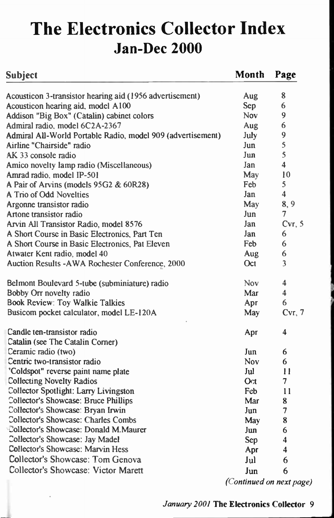## The Electronics Collector Index Jan-Dec 2000

| <b>Subject</b>                                              | Month      | Page    |
|-------------------------------------------------------------|------------|---------|
| Acousticon 3-transistor hearing aid (1956 advertisement)    | Aug        | 8       |
| Acousticon hearing aid, model A100                          | Sep        | 6       |
| Addison "Big Box" (Catalin) cabinet colors                  | Nov.       | 9       |
| Admiral radio, model 6C2A-2367                              | Aug        | 6       |
| Admiral All-World Portable Radio, model 909 (advertisement) | July       | 9       |
| Airline "Chairside" radio                                   | Jun        | 5       |
| AK 33 console radio                                         | Jun        | 5       |
| Amico novelty lamp radio (Miscellaneous)                    | Jan        | 4       |
| Amrad radio, model IP-501                                   | May        | 10      |
| A Pair of Arvins (models 95G2 & 60R28)                      | Feb        | 5       |
| A Trio of Odd Novelties                                     | Jan        | 4       |
| Argonne transistor radio                                    | May        | 8, 9    |
| Artone transistor radio                                     | Jun        | 7       |
| Arvin All Transistor Radio, model 8576                      | Jan        | Cvr, 5  |
| A Short Course in Basic Electronics, Part Ten               | Jan        | 6       |
| A Short Course in Basic Electronics, Pat Eleven             | Feb        | 6       |
| Atwater Kent radio, model 40                                | Aug        | 6       |
| Auction Results - AWA Rochester Conference, 2000            | Oct.       | 3       |
| Belmont Boulevard 5-tube (subminiature) radio               | <b>Nov</b> | 4       |
| Bobby Orr novelty radio                                     | Mar        | 4       |
| <b>Book Review: Toy Walkie Talkies</b>                      | Apr        | 6       |
| Busicom pocket calculator, model LE-120A                    | May        | Cvr, 7  |
| Candle ten-transistor radio                                 | Apr        | 4       |
| Catalin (see The Catalin Corner)                            |            |         |
| Ceramic radio (two)                                         | Jun        | 6       |
| Centric two-transistor radio                                | <b>Nov</b> | 6       |
| 'Coldspot" reverse paint name plate                         | Jul        | $_{11}$ |
| <b>Collecting Novelty Radios</b>                            | Oct.       | 7       |
| Collector Spotlight: Larry Livingston                       | <b>Feb</b> | 11      |
| Collector's Showcase: Bruce Phillips                        | Mar        | 8       |
| Collector's Showcase: Bryan Irwin                           | Jun        | 7       |
| Collector's Showcase: Charles Combs                         | May        | 8       |
| Collector's Showcase: Donald M.Maurer                       | Jun        | 6       |
| Collector's Showcase: Jay Madel                             | Sep        | 4       |
| <b>Collector's Showcase: Maryin Hess</b>                    | Apr        | 4       |
| Collector's Showcase: Tom Genova                            | Jul        | 6       |
| Collector's Showcase: Victor Marett                         | Jun        | 6       |

(Continued on next page)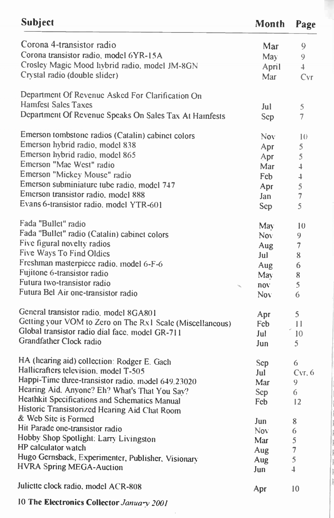| Subject                                                   | Month      | Page           |
|-----------------------------------------------------------|------------|----------------|
| Corona 4-transistor radio                                 | Mar        | 9              |
| Corona transistor radio, model 6YR-15A                    | May        | 9              |
| Crosley Magic Mood hybrid radio, model JM-8GN             | April      | $\overline{4}$ |
| Crystal radio (double slider)                             | Mar        | Cvr            |
|                                                           |            |                |
| Department Of Revenue Asked For Clarification On          |            |                |
| <b>Hamfest Sales Taxes</b>                                | Jul        | 5              |
| Department Of Revenue Speaks On Sales Tax At Hamfests     | Sep        | 7              |
| Emerson tombstone radios (Catalin) cabinet colors         | <b>Nov</b> | 10             |
| Emerson hybrid radio, model 838                           | Apr        | 5              |
| Emerson hybrid radio, model 865                           | Apr        | 5              |
| Emerson "Mae West" radio                                  | Mar        | $\overline{a}$ |
| Emerson "Mickey Mouse" radio                              | Feb        | 4              |
| Emerson subminiature tube radio, model 747                |            |                |
| Emerson transistor radio, model 888                       | Apr        | 5              |
| Evans 6-transistor radio, model YTR-601                   | Jan        | $\overline{7}$ |
|                                                           | Sep        | 5              |
| Fada "Bullet" radio                                       | May        | 10             |
| Fada "Bullet" radio (Catalin) cabinet colors              | Nov.       | 9              |
| Five figural novelty radios                               | Aug        | $\overline{7}$ |
| Five Ways To Find Oldies                                  | Jul        | 8              |
| Freshman masterpiece radio, model 6-F-6                   | Aug        | 6              |
| Fujitone 6-transistor radio                               | May        | 8              |
| Futura two-transistor radio                               | nov.       | 5              |
| Futura Bel Air one-transistor radio                       | Nov.       | 6              |
| General transistor radio, model 8GA801                    |            |                |
| Getting your VOM to Zero on The Rx1 Scale (Miscellaneous) | Apr        | 5              |
| Global transistor radio dial face, model GR-711           | Fcb.       | 11             |
| Grandfather Clock radio                                   | Jul        | 10             |
|                                                           | Jun        | 5              |
| HA (hearing aid) collection: Rodger E. Gach               | Sep        | 6              |
| Hallicrafters television, model T-505                     | Jul        | Cvr, 6         |
| Happi-Time three-transistor radio, model 649.23020        | Mar        | 9              |
| Hearing Aid. Anyone? Eh? What's That You Say?             | Sep        | 6              |
| Heathkit Specifications and Schematics Manual             | Fcb        | 12             |
| Historic Transistorized Hearing Aid Chat Room             |            |                |
| & Web Site is Formed                                      | Jun        | 8              |
| Hit Parade one-transistor radio                           | Nov.       | 6              |
| Hobby Shop Spotlight: Larry Livingston                    | Mar        | 5              |
| HP calculator watch                                       | Aug        | 7              |
| Hugo Gernsback, Experimenter, Publisher, Visionary        | Aug        | 5              |
| <b>HVRA Spring MEGA-Auction</b>                           | Jun        | $\overline{1}$ |
| Juliette clock radio, model ACR-808                       |            |                |
|                                                           | Apr        | 10             |

10 The Electronics Collector January 2001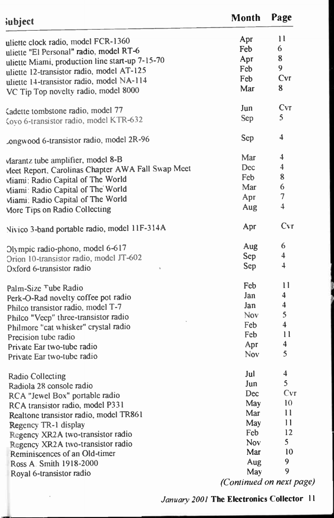| subject                                           | Month                    | Page                    |
|---------------------------------------------------|--------------------------|-------------------------|
| uliette clock radio, model FCR-1360               | Apr                      | 11                      |
| uliette "El Personal" radio, model RT-6           | Feb                      | 6                       |
| uliette Miami, production line start-up 7-15-70   | Apr                      | 8                       |
| uliette 12-transistor radio, model AT-125         | Feb                      | 9                       |
| uliette 14-transistor radio, model NA-114         | Feb.                     | Cvr                     |
| VC Tip Top novelty radio, model 8000              | Mar                      | 8                       |
|                                                   | Jun                      | Cvr                     |
| Cadette tombstone radio, model 77                 | Sep                      | 5                       |
| Coyo 6-transistor radio, model KTR-632            |                          |                         |
| .ongwood 6-transistor radio, model 2R-96          | Sep                      | $\overline{4}$          |
| Marantz tube amplifier, model 8-B                 | Mar                      | $\overline{\mathbf{4}}$ |
| Meet Report, Carolinas Chapter AWA Fall Swap Meet | <b>Dec</b>               | 4                       |
| Viiami: Radio Capital of The World                | <b>Feb</b>               | 8                       |
| Viiami: Radio Capital of The World                | Mar                      | 6                       |
| Viiami: Radio Capital of The World                | Apr                      | $\overline{7}$          |
| More Tips on Radio Collecting                     | Aug                      | $\overline{\mathbf{4}}$ |
| Nivico 3-band portable radio, model 11F-314A      | Apr                      | Cvr                     |
| Olympic radio-phono, model 6-617                  | Aug                      | 6                       |
| Orion 10-transistor radio, model JT-602           | Sep                      | 4                       |
| Oxford 6-transistor radio                         | Sep                      | $\overline{4}$          |
|                                                   |                          |                         |
| Palm-Size Tube Radio                              | Feb                      | 11                      |
| Perk-O-Rad novelty coffee pot radio               | Jan                      | 4                       |
| Philco transistor radio, model T-7                | Jan                      | 4                       |
| Philco "Veep" three-transistor radio              | <b>Nov</b>               | 5                       |
| Philmore "cat whisker" crystal radio              | Feb                      | 4                       |
| Precision tube radio                              | Feb.                     | 11                      |
| Private Ear two-tube radio                        | Apr                      | 4                       |
| Private Ear two-tube radio                        | <b>Nov</b>               | 5                       |
| <b>Radio Collecting</b>                           | Jul                      | 4                       |
| Radiola 28 console radio                          | Jun                      | 5                       |
| RCA "Jewel Box" portable radio                    | Dec                      | Cvr                     |
| RCA transistor radio, model P331                  | May                      | 10                      |
| Realtone transistor radio, model TR861            | Mar                      | $\mathbf{1}$            |
| Regency TR-1 display                              | May                      | 11                      |
| Regency XR2A two-transistor radio                 | Feb                      | 12                      |
| Regency XR2A two-transistor radio                 | <b>Nov</b>               | 5                       |
| Reminiscences of an Old-timer                     | Mar                      | 10                      |
| Ross A. Smith 1918-2000                           | Aug                      | 9                       |
| Royal 6-transistor radio                          | May                      | 9                       |
|                                                   | (Continued on next page) |                         |

 $\ddot{\phantom{0}}$ 

### January 2001 The Electronics Collector 11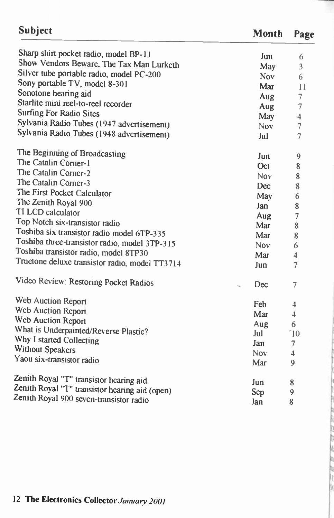| Subject                                        | Month      | Page                    |
|------------------------------------------------|------------|-------------------------|
| Sharp shirt pocket radio, model BP-11          | Jun        | 6                       |
| Show Vendors Beware, The Tax Man Lurketh       | May        | 3                       |
| Silver tube portable radio, model PC-200       | <b>Nov</b> | 6                       |
| Sony portable TV, model 8-301                  | Mar        | 11                      |
| Sonotone hearing aid                           | Aug        | $\overline{7}$          |
| Starlite mini reel-to-reel recorder            | Aug        | $\overline{7}$          |
| <b>Surfing For Radio Sites</b>                 | May        | $\overline{\bf{4}}$     |
| Sylvania Radio Tubes (1947 advertisement)      | Nov.       | $\overline{7}$          |
| Sylvania Radio Tubes (1948 advertisement)      | Jul        | $\overline{7}$          |
| The Beginning of Broadcasting                  | Jun        | 9                       |
| The Catalin Corner-1                           | Oct.       | $\bf 8$                 |
| The Catalin Corner-2                           | Nov.       | 8                       |
| The Catalin Corner-3                           | Dec        | 8                       |
| The First Pocket Calculator                    | May        | 6                       |
| The Zenith Royal 900                           | Jan        | 8                       |
| TI LCD calculator                              | Aug        | $\overline{7}$          |
| Top Notch six-transistor radio                 | Mar        | 8                       |
| Toshiba six transistor radio model 6TP-335     | Mar        | 8                       |
| Toshiba three-transistor radio, model 3TP-315  | Nov.       | 6                       |
| Toshiba transistor radio, model 8TP30          | Mar        | $\overline{\mathbf{4}}$ |
| Truetone deluxe transistor radio, model TT3714 | Jun.       | 7                       |
| Video Review: Restoring Pocket Radios          | Dec        | 7                       |
| Web Auction Report                             | Feb        | 4                       |
| Web Auction Report                             | Mar        | 4                       |
| Web Auction Report                             | Aug        | 6                       |
| What is Underpainted/Reverse Plastic?          | Jul        | $\degree$ 10            |
| Why I started Collecting                       | Jan        | 7                       |
| <b>Without Speakers</b>                        | <b>Nov</b> | $\overline{4}$          |
| Yaou six-transistor radio                      | Mar        | 9                       |
| Zenith Royal "T" transistor hearing aid        | Jun        | 8                       |
| Zenith Royal "T" transistor hearing aid (open) | Sep        | 9                       |
| Zenith Royal 900 seven-transistor radio        | Ian.       | я                       |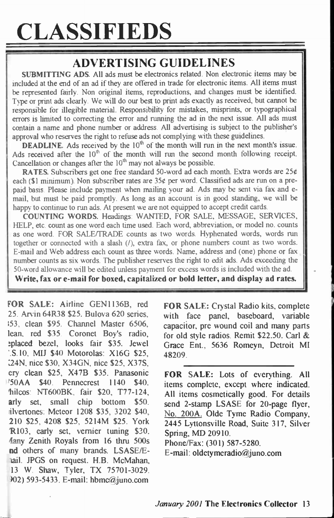# CLASSIFIEDS

### ADVERTISING GUIDELINES

SUBMITTING ADS. All ads must be electronics related. Non electronic items may be included at the end of an ad if they are offered in trade for electronic items. All items must be represented fairly. Non original items, reproductions, and changes must be identified. Type or print ads clearly. We will do our best to print ads exactly as received, but cannot be responsible for ilegible material. Responsibility for mistakes, misprints, or typographical errors is limited to correcting the error and running the ad in the next issue. All ads must contain a name and phone number or address. All advertising is subject to the publisher's approval who reserves the right to refuse ads not complying with these guidelines.

**DEADLINE.** Ads received by the  $10<sup>th</sup>$  of the month will run in the next month's issue. Ads received after the  $10<sup>th</sup>$  of the month will run the second month following receipt. Cancellation or changes after the  $10<sup>th</sup>$  may not always be possible.

RATES. Subscribers get one free standard 50-word ad each month. Extra words are 25¢ each (\$1 minimum). Non subscriber rates are 35¢ per word. Classified ads are run on a prepaid basis. Please include payment when mailing your ad. Ads may be sent via fax and email, but must be paid promptly. As long as an account is in good standing, we will be happy to continue to run ads. At present we are not equipped to accept credit cards.

COUNTING WORDS. Headings: WANTED, FOR SALE, MESSAGE, SERVICES, HELP, etc. count as one word each time used. Each word, abbreviation, or model no. counts as one word. FOR SALE/TRADE counts as two words. Hyphenated words, words run together or connected with a slash (/), extra fax, or phone numbers count as two words. E-mail and Web address each count as three words. Name, address and (one) phone or fax number counts as six words. The publisher reserves the right to edit ads. Ads exceeding the 50-word alowance will be edited unless payment for excess words is included with the ad.

Write, fax or e-mail for boxed, capitalized or bold letter, and display ad rates.

FOR SALE: Airline GEN1136B, red 25. Arvin 64R38 \$25. Bulova 620 series, 153, clean \$95. Channel Master 6506, lean, red \$35. Coronet Boy's radio, !placed bezel, looks fair \$35. Jewel '.S.10, MIJ \$40 Motorolas: X 16G \$25, 24N, nice \$30, X34GN, nice \$25, X37S, cry clean \$25, X47B \$35. Panasonic '50AA \$40. Pennecrest 140 \$40. hilcos: NT600BK, fair \$20, T77-124, arly set, small chip bottom \$50. ilvertones: Meteor 1208 \$35, 3202 \$40, 210 \$25, 4208 \$25, 5214M \$25. York R103, early set, vernier tuning \$30. 4any Zenith Royals from 16 thru 500s nd others of many brands. LSASE/Eail. JPGS on request. H.B. McMahan, 13 W. Shaw, Tyler, TX 75701-3029. 02) 593-5433. E-mail: hbmc@juno.com

FOR SALE: Crystal Radio kits, complete with face panel, baseboard, variable capacitor, pre wound coil and many parts for old style radios. Remit \$22.50. Carl & Grace Ent., 5636 Romeyn, Detroit MI 48209.

FOR SALE: Lots of everything. All items complete, except where indicated. All items cosmetically good. For details send 2-stamp LSASE for 20-page flyer, No. 200A. Olde Tyme Radio Company, 2445 Lyttonsville Road, Suite 317, Silver Spring, MD 20910.

Phone/Fax: (301) 587-5280.

E-mail: oldetymeradio@juno.com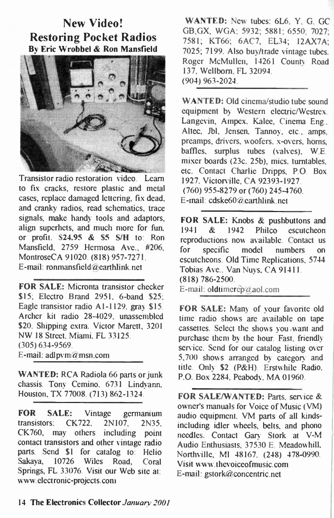### New Video! Restoring Pocket Radios By Eric Wrobbel & Ron Mansfield



Transistor radio restoration video. Learn to fix cracks, restore plastic and metal cases, replace damaged lettering, fix dead, and cranky radios, read schematics, trace signals, make handy tools and adaptors, align superhets, and much more for fun, or profit. \$24.95 & \$5 S/H to: Ron Mansfield, 2759 Hermosa Ave., #206, MontroseCA 91020. (818) 957-7271. E-mail: ronmansfield@earthlink.net

FOR SALE: Micronta transistor checker \$15; Electro Brand 2951, 6-band \$25; Eagle transistor radio Al-1129, gray \$15. Archer kit radio 28-4029, unassembled \$20. Shipping extra. Victor Marett, 3201 NW 18 Street, Miami, FL 3125. (305) 634-9569. E-mail: adlpvm@msn.com

WANTED: RCA Radiola 66 parts or junk chassis. Tony Cemino, 6731 Lindyann, Houston, TX 77008. (713) 862-1324.

FOR SALE: Vintage germanium transistors: CK722, 2N107, 2N35, CK760, may others including point contact transistors and other vintage radio parts. Send \$1 for catalog to: Helio Sakaya, 10726 Wiles Road, Coral Springs, FL 33076. Visit our Web site at: www.electronic-projects.com

WANTED: New tubes: 6L6, Y, G, GC GB,GX, WGA; 5932; 5881; 6550; 7027; 7581; KT66; 6AC7, EL34; 12AX7A; 7025; 7199. Also buy/trade vintage tubes. Roger McMullen, 14261 County Road 137, Wellborn, FL 32094. (904) 963-2024.

WANTED: Old cinema/studio tube sound equipment by Western electric/Westrex. Langevin, Ampex, Kalee, Cinema Eng., Altec, Jbl, Jensen, Tannoy, etc., amps, preamps, drivers, woofers, x-overs, horns, baffles, surplus tubes (valves). W.E. mixer boards (23c, 25b), mics. turntables, etc. Contact Charlie Dripps, P.O. Box 1927, Victorville, CA 92393-1927. (760) 955-8279 or (760) 245-4760. E-mail: cdske60 @earthlink . net

FOR SALE: Knobs & pushbuttons and 1941 & 1942 Philco escutcheon reproductions now available. Contact us for specific model numbers on escutcheons. Old Time Replications, 5744 Tobias Ave.. Van Nuys, CA 91411. (818) 786-2500. E-mail: oldtimerep@aol.com

FOR SALE: Many of your favorite old time radio shows are available on tape cassettes. Select the shows you-want and purchase them by the hour. Fast, friendly service. Send for our catalog listing over 5,700 shows arranged by category and title. Only \$2 (P&H). Erstwhile Radio, P.O. Box 2284, Peabody, MA 01960.

FOR SALE/WANTED: Parts, service & owner's manuals for Voice of Music (VM) audio equipment. VM parts of all kindsincluding idler wheels, belts, and phono needles. Contact Gary Stork at V-M Audio Enthusiasts, 37530 E. Meadowhill, Northville, MI 48167. (248) 478-0990. Visit www.thevoiceofmusic.com E-mail: gstork@concentric.net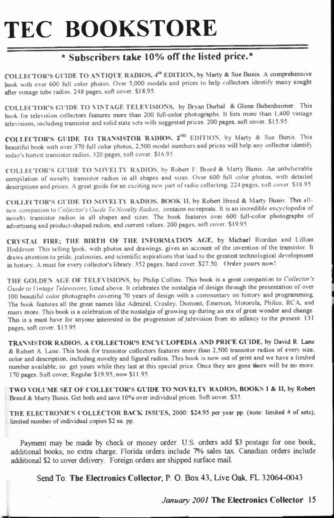# TEC BOOKSTORE

#### $*$  Subscribers take 10% off the listed price. $*$

COLLECTOR'S GUIDE TO ANTIQUE RADIOS, 4<sup>th</sup> EDITION, by Marty & Sue Bunis. A comprehensive book with over 600 full color photos. Over 5.000 models and prices to help collectors identify many sought after vintage tube radios. 248 pages. soft cover. \$18.95.

COLLECTOR'S GUIDE TO VINTAGE TELEVISIONS, by Bryan Durbal & Glenn Bubenheimer. This book for television collectors features more than 200 full-color photographs. It lists more than 1,400 vintage televisions, including transistor and solid state sets with suggested prices. 200 pages, soft cover. \$15.95.

COLLECTOR'S GUIDE TO TRANSISTOR RADIOS, 2<sup>ND</sup> EDITION, by Marty & Sue Bunis. This beautiful book with over 370 full color photos, 2,500 model numbers and prices will help any collector identify today's hottest transistor radios. 320 pages, soft cover. \$16.95.

COLLECTOR'S GUIDE TO NOVELTY RADIOS. by Robert F. Breed & Marty Bunis. An unbelievable compilation of novelty transistor radios in all shapes and sizes. Over 600 full color photos, with detailed descriptions and prices. A great guide for an exciting new part of radio collecting. 224 pages, soft cover. \$18.95.

COLLECTOR'S GUIDE TO NOVELTY RADIOS, BOOK I. by Robert Breed & Marty Bunis. This allnew companion to Collector's Guide To Novelty Radios, contains no repeats. It is an incredible encyclopedia of novelty transistor radios in all shapes and sizes. The book features over 600 full-color photographs of advertising and product-shaped radios, and current values. 200 pages, soft cover. \$19.95.

CRYSTAL FIRE; THE BIRTH OF THE INFORMATION AGE, by Michael Riordan and Lillian Hoddeson. This telling book, with photos and drawings, gives an account of the invention of the transistor. It draws attention to pride. jealousies, and scientific aspirations that lead to the greatest technological development in history. A must for every collector's library. 352 pages, hard cover. \$27.50. Order yours now!

THE GOLDEN AGE OF TELEVISIONS, by Philip Collins. This book is a great companion to Collector's Guide to Vintage Televisions, listed above. It celebrates the nostalgia of design through the presentation of over 100 beautiful color photographs covering 70 years of design with a commentary on history and programming. The book features all the great names like Admiral, Crosley, Dumont, Emerson, Motorola, Philco. RCA, and many more. This book is a celebration of the nostalgia of growing up during an era of great wonder and change. This is a must have for anyone interested in the progression of television from its infancy to the present. 131 pages, soft cover. \$15.95.

TRANSISTOR RADIOS, A COLLECTOR'S ENCYCLOPEDIA AND PRICE GUIDE. by David R. Lane & Robert A. Lane. This book for transistor collectors features more than 2,500 transistor radios of every size. color and description, including novelty and figural radios. This book is now out of print and we have a limited number available, so get yours while they last at this special price. Once they are gone there will be no more. 170 pages. Soft cover, Regular \$19.95, now \$11.95.

TWO VOLUME SET OF COLLECTOR'S GUIDE TO NOVELTY RADIOS, BOOKS I & II, by Robert Breed & Marty Bunis. Get both and save 10% over individual prices. Soft cover. \$35.

THE ELECTRONICS COLLECTOR BACK ISSUES, 2000: \$24.95 per year pp. (note: limited # of sets); limited number of individual copies \$2 ea. pp.

Payment may be made by check or money order. U.S. orders add \$3 postage for one book, additional books, no extra charge. Florida orders include 7% sales tax. Canadian orders include additional \$2 to cover delivery. Foreign orders are shipped surface mail.

Send To: The Electronics Collector, P. O. Box 43, Live Oak, FL 32064-0043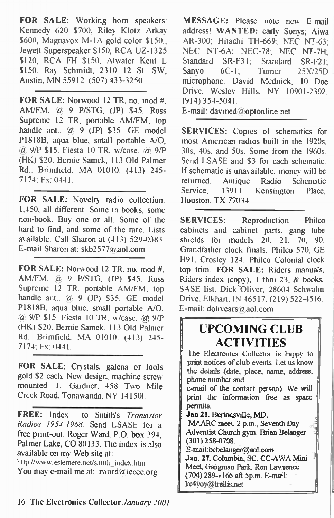FOR SALE: Working horn speakers: Kennedy 620 \$700, Riley Klotz Arkay \$600, Magnavox M-1A gold color \$150., Jewett Superspeaker \$150, RCA UZ-1325 \$120, RCA FH \$150, Atwater Kent L \$150. Ray Schmidt, 2310 12 St. SW, Austin, MN 55912. (507) 433-3250.

FOR SALE: Norwood 12 TR, no. mod #, AM/FM, @ 9 P/STG, (JP) \$45. Ross Supreme 12 TR, portable AM/FM, top handle ant., @ 9 (JP) \$35. GE model P1818B, aqua blue, small portable A/0, @ 9/P \$15. Fiesta 10 TR, w/case, @ 9/P (FIK) \$20. Bernie Samek, 13 Old Palmer Rd., Brimfield, MA 01010. (413) 245- 7174; Fx: 0441.

FOR SALE: Novelty radio collection. 1,450, all diferent. Some in books, some non-book. Buy one or all. Some of the hard to find, and some of the rare. Lists available. Call Sharon at (413) 529-0383. E-mail Sharon at: skb2577@aol.com

FOR SALE: Norwood 12 TR, no. mod #, AM/FM, @ 9 P/STG, (JP) \$45. Ross Supreme 12 TR, portable AM/FM, top handle ant., @ 9 (JP) \$35. GE model P1818B, aqua blue, small portable A/O, @ 9/P \$15. Fiesta 10 TR, w/case, @ 9/P (HK) \$20. Bernie Samek, 13 Old Palmer Rd., Brimfield, MA 01010. (413) 245- 7174; Fx: 0441.

FOR SALE: Crystals, galena or fools gold \$2 each. New design, machine screv, mounted. L. Gardner, 458 Two Mile Creek Road, Tonawanda, NY 141501.

FREE: Index to Smith's Transistor Radios 1954-1968. Send LSASE for a free print-out. Roger Ward, P.O. box 394. Palmer Lake, CO 80133. The index is also available on my Web site at:

http :/www. estemere. net/smith\_index. hun You may e-mail me at: rward@iecee.org

MESSAGE: Please note new E-mail address! WANTED: early Sonys; Aiwa AR-300; Hitachi TH-669; NEC NT-63; NEC NT-6A; NEC-78; NEC NT-7H; Standard SR-F31; Standard SR-F21; Sanyo 6C-1; Turner 25X/25D microphone. David Mednick, 10 Doe Drive, Wesley Hills, NY 10901-2302. (914) 354-5041. E-mail: davmed@optonline.net

SERVICES: Copies of schematics for most American radios built in the 1920s, 30s, 40s, and 50s. Some from the 1960s. Send LSASE and \$3 for each schematic. If schematic is unavailable, money will be returned. Antique Radio Schematic Service, 13911 Kensington Place, Houston, TX 77034.

SERVICES: Reproduction Philco cabinets and cabinet parts, gang tube shields for models 20, 21, 70, 90. Grandfather clock finals: Philco 570, GE H91, Crosley 124. Philco Colonial clock top trim. FOR SALE: Riders manuals, Riders index (copy), 1 thru 23,  $&$  books, SASE list. Dick 'Oliver, 28604 Schwalm Drive, Elkhart, IN 46517. (219) 522-4516. E-mail: dolivears $\hat{a}$  aol com

### UPCOMING CLUB ACTIVITIES

The Electronics Collector is happy to print notices of club events. Let us know the details (date, place, name, address, phone number and

e-mail of the contact person). We will print the information free as space permits.

Jan 21. Burtonsville, MD.

MAARC meet, 2 p.m., Seventh Day Adventist Church gym. Brian Belanger (301)258-0708.

F.-rnaiLbcbelangengaol.com Jan. 27. Columbia, SC. CC-AWA Mini Meet, Gangman Park Ron Lawrence ( 704)289-1166 aft 5p.m. E-mail: kcAyoy@trellis.net